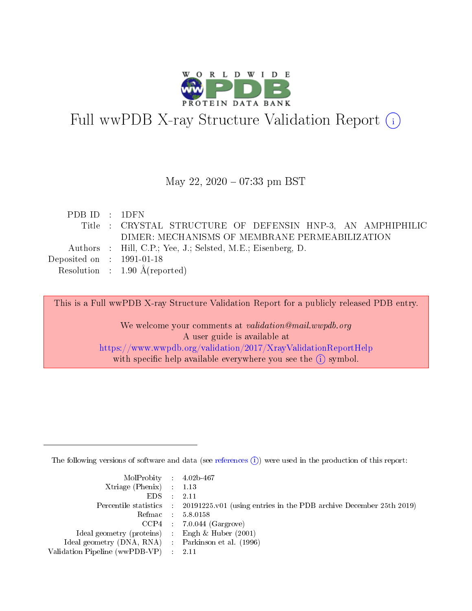

# Full wwPDB X-ray Structure Validation Report (i)

#### May 22, 2020 - 07:33 pm BST

| PDBID : 1DFN                                                |  |
|-------------------------------------------------------------|--|
| Title : CRYSTAL STRUCTURE OF DEFENSIN HNP-3, AN AMPHIPHILIC |  |
| DIMER: MECHANISMS OF MEMBRANE PERMEABILIZATION              |  |
| Authors : Hill, C.P.; Yee, J.; Selsted, M.E.; Eisenberg, D. |  |
| Deposited on $\therefore$ 1991-01-18                        |  |
| Resolution : $1.90 \text{ Å}$ (reported)                    |  |

This is a Full wwPDB X-ray Structure Validation Report for a publicly released PDB entry.

We welcome your comments at validation@mail.wwpdb.org A user guide is available at <https://www.wwpdb.org/validation/2017/XrayValidationReportHelp> with specific help available everywhere you see the  $(i)$  symbol.

The following versions of software and data (see [references](https://www.wwpdb.org/validation/2017/XrayValidationReportHelp#references)  $(i)$ ) were used in the production of this report:

| MolProbity : 4.02b-467                              |                                                                                            |
|-----------------------------------------------------|--------------------------------------------------------------------------------------------|
| $Xtriangle (Phenix)$ : 1.13                         |                                                                                            |
| $EDS = 2.11$                                        |                                                                                            |
|                                                     | Percentile statistics : 20191225.v01 (using entries in the PDB archive December 25th 2019) |
|                                                     | Refmac : 5.8.0158                                                                          |
|                                                     | $CCP4$ : 7.0.044 (Gargrove)                                                                |
| Ideal geometry (proteins) : Engh $\&$ Huber (2001)  |                                                                                            |
| Ideal geometry (DNA, RNA) : Parkinson et al. (1996) |                                                                                            |
| Validation Pipeline (wwPDB-VP) : 2.11               |                                                                                            |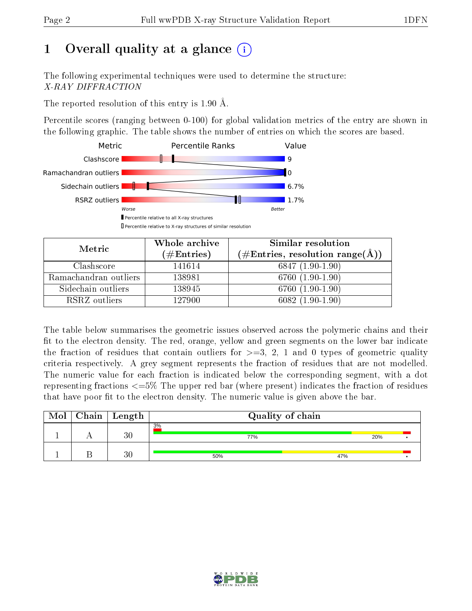# 1 [O](https://www.wwpdb.org/validation/2017/XrayValidationReportHelp#overall_quality)verall quality at a glance  $(i)$

The following experimental techniques were used to determine the structure: X-RAY DIFFRACTION

The reported resolution of this entry is 1.90 Å.

Percentile scores (ranging between 0-100) for global validation metrics of the entry are shown in the following graphic. The table shows the number of entries on which the scores are based.



| Metric                | Whole archive<br>$(\#\text{Entries})$ | Similar resolution<br>$(\#\text{Entries}, \text{resolution range}(\AA))$ |
|-----------------------|---------------------------------------|--------------------------------------------------------------------------|
| Clashscore            | 141614                                | $6847(1.90-1.90)$                                                        |
| Ramachandran outliers | 138981                                | 6760 (1.90-1.90)                                                         |
| Sidechain outliers    | 138945                                | 6760 (1.90-1.90)                                                         |
| RSRZ outliers         | 127900                                | $6082(1.90-1.90)$                                                        |

The table below summarises the geometric issues observed across the polymeric chains and their fit to the electron density. The red, orange, yellow and green segments on the lower bar indicate the fraction of residues that contain outliers for  $\geq=3$ , 2, 1 and 0 types of geometric quality criteria respectively. A grey segment represents the fraction of residues that are not modelled. The numeric value for each fraction is indicated below the corresponding segment, with a dot representing fractions  $\epsilon = 5\%$  The upper red bar (where present) indicates the fraction of residues that have poor fit to the electron density. The numeric value is given above the bar.

| Mol | $Chain$ Length | Quality of chain |     |  |  |
|-----|----------------|------------------|-----|--|--|
|     | 30             | 3%<br>77%        | 20% |  |  |
|     | 30             | 50%              | 47% |  |  |

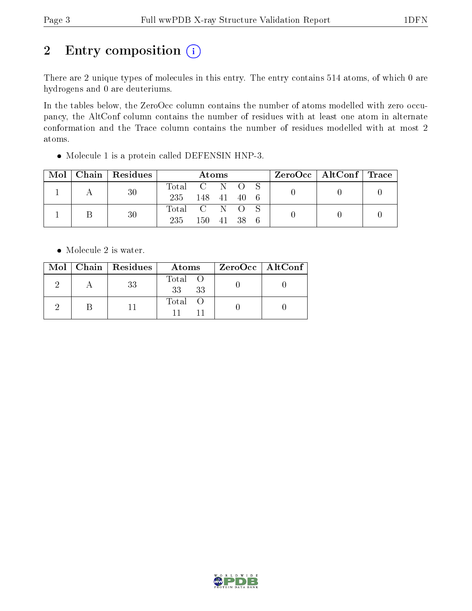# 2 Entry composition  $(i)$

There are 2 unique types of molecules in this entry. The entry contains 514 atoms, of which 0 are hydrogens and 0 are deuteriums.

In the tables below, the ZeroOcc column contains the number of atoms modelled with zero occupancy, the AltConf column contains the number of residues with at least one atom in alternate conformation and the Trace column contains the number of residues modelled with at most 2 atoms.

Molecule 1 is a protein called DEFENSIN HNP-3.

| Mol | Chain   Residues | <b>Atoms</b>  |        |  | $\rm ZeroOcc$   AltConf   Trace |     |  |  |
|-----|------------------|---------------|--------|--|---------------------------------|-----|--|--|
|     | 30               | Total C N O S |        |  |                                 |     |  |  |
|     |                  | 235 148 41 40 |        |  |                                 | - 6 |  |  |
|     | 30               | Total C N O S |        |  |                                 |     |  |  |
|     |                  | 235           | 150 41 |  | - 38                            |     |  |  |

• Molecule 2 is water.

|  | Mol   Chain   Residues | Atoms                 | ZeroOcc   AltConf |
|--|------------------------|-----------------------|-------------------|
|  | 33                     | Total O<br>- 33<br>33 |                   |
|  |                        | Total O               |                   |

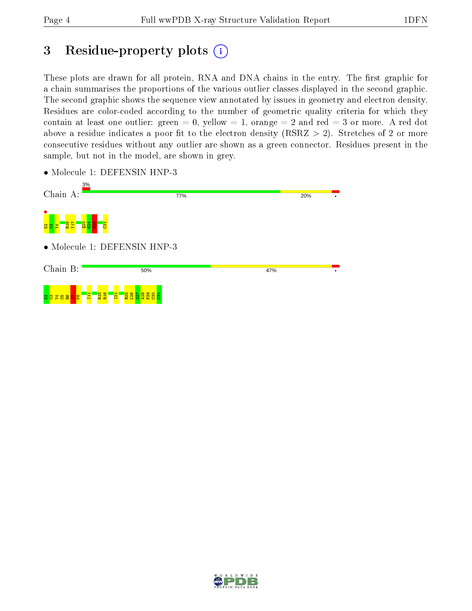### 3 Residue-property plots  $(i)$

These plots are drawn for all protein, RNA and DNA chains in the entry. The first graphic for a chain summarises the proportions of the various outlier classes displayed in the second graphic. The second graphic shows the sequence view annotated by issues in geometry and electron density. Residues are color-coded according to the number of geometric quality criteria for which they contain at least one outlier: green  $= 0$ , yellow  $= 1$ , orange  $= 2$  and red  $= 3$  or more. A red dot above a residue indicates a poor fit to the electron density (RSRZ  $> 2$ ). Stretches of 2 or more consecutive residues without any outlier are shown as a green connector. Residues present in the sample, but not in the model, are shown in grey.

- Chain A: 77% **20%** o<br>8 83 – 22<br>8 83 – 22  $\frac{23}{2}$  $\frac{1}{24}$  $\frac{1}{2}$  $\frac{1}{23}$ • Molecule 1: DEFENSIN HNP-3 Chain B: 50% 47%  $\mathbf{H}$ R15 R16  $\frac{1}{2}$ R25  $\frac{126}{2}$  $\frac{1}{2}$  $\frac{28}{2}$ F29  $\frac{8}{2}$ ទី <mark>3 다음 양 호 양 8</mark>
- Molecule 1: DEFENSIN HNP-3

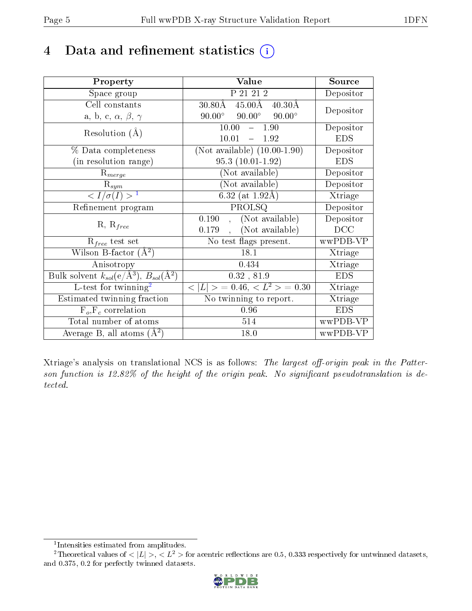## 4 Data and refinement statistics  $(i)$

| Property                                                                | Value                                                       | Source         |
|-------------------------------------------------------------------------|-------------------------------------------------------------|----------------|
| Space group                                                             | P 21 21 2                                                   | Depositor      |
| Cell constants                                                          | $45.00\text{\AA}$<br>$30.80\text{\AA}$<br>$40.30\text{\AA}$ | Depositor      |
| a, b, c, $\alpha$ , $\beta$ , $\gamma$                                  | $90.00^\circ$<br>$90.00^\circ$<br>$90.00^\circ$             |                |
| Resolution $(A)$                                                        | 10.00<br>$-1.90$                                            | Depositor      |
|                                                                         | 10.01<br>1.92<br>$\frac{1}{2}$                              | <b>EDS</b>     |
| % Data completeness                                                     | (Not available) $(10.00-1.90)$                              | Depositor      |
| (in resolution range)                                                   | $95.3(10.01-1.92)$                                          | <b>EDS</b>     |
| $R_{merge}$                                                             | (Not available)                                             | Depositor      |
| $\mathrm{R}_{sym}$                                                      | (Not available)                                             | Depositor      |
| $\langle I/\sigma(I) \rangle^{-1}$                                      | 6.32 (at $1.92\text{\AA}$ )                                 | Xtriage        |
| Refinement program                                                      | PROLSQ                                                      | Depositor      |
|                                                                         | (Not available)<br>0.190<br>$\ddot{\phantom{a}}$            | Depositor      |
| $R, R_{free}$                                                           | (Not available)<br>0.179                                    | DCC            |
| $R_{free}$ test set                                                     | No test flags present.                                      | wwPDB-VP       |
| Wilson B-factor $(A^2)$                                                 | 18.1                                                        | Xtriage        |
| Anisotropy                                                              | 0.434                                                       | Xtriage        |
| Bulk solvent $k_{sol}(\mathrm{e}/\mathrm{A}^3),\,B_{sol}(\mathrm{A}^2)$ | 0.32, 81.9                                                  | <b>EDS</b>     |
| L-test for twinning <sup>2</sup>                                        | $< L >$ = 0.46, $< L2 >$ = 0.30                             | Xtriage        |
| Estimated twinning fraction                                             | No twinning to report.                                      | <b>Xtriage</b> |
| $F_o, F_c$ correlation                                                  | 0.96                                                        | <b>EDS</b>     |
| Total number of atoms                                                   | 514                                                         | wwPDB-VP       |
| Average B, all atoms $(A^2)$                                            | 18.0                                                        | wwPDB-VP       |

Xtriage's analysis on translational NCS is as follows: The largest off-origin peak in the Patterson function is  $12.82\%$  of the height of the origin peak. No significant pseudotranslation is detected.

<sup>&</sup>lt;sup>2</sup>Theoretical values of  $\langle |L| \rangle$ ,  $\langle L^2 \rangle$  for acentric reflections are 0.5, 0.333 respectively for untwinned datasets, and 0.375, 0.2 for perfectly twinned datasets.



<span id="page-4-1"></span><span id="page-4-0"></span><sup>1</sup> Intensities estimated from amplitudes.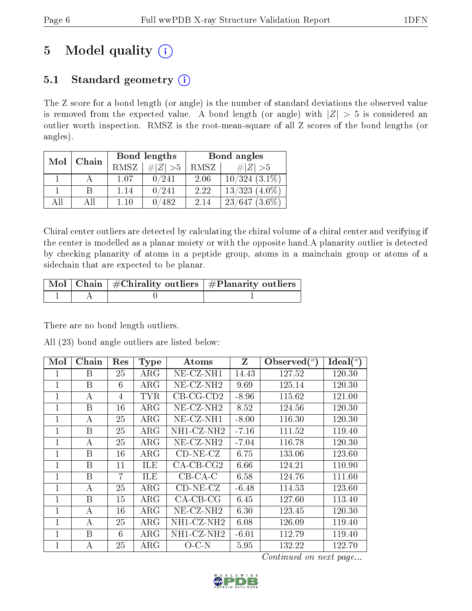# 5 Model quality  $(i)$

### 5.1 Standard geometry  $(i)$

The Z score for a bond length (or angle) is the number of standard deviations the observed value is removed from the expected value. A bond length (or angle) with  $|Z| > 5$  is considered an outlier worth inspection. RMSZ is the root-mean-square of all Z scores of the bond lengths (or angles).

| Mol<br>Chain |    |             | Bond lengths | Bond angles |                    |  |
|--------------|----|-------------|--------------|-------------|--------------------|--|
|              |    | <b>RMSZ</b> | $\# Z  > 5$  | RMSZ        | # $ Z  > 5$        |  |
|              |    | 1 07        | 0/241        | 2.06        | $10/324$ $(3.1\%)$ |  |
|              | B  | 1.14        | 0/241        | 2.22        | $13/323$ $(4.0\%)$ |  |
| ΑĦ           | ΑH | 110         | 482          | 2.14        | $23/647$ $(3.6\%)$ |  |

Chiral center outliers are detected by calculating the chiral volume of a chiral center and verifying if the center is modelled as a planar moiety or with the opposite hand.A planarity outlier is detected by checking planarity of atoms in a peptide group, atoms in a mainchain group or atoms of a sidechain that are expected to be planar.

|  | $\sqrt{\text{Mol}}$ Chain $\frac{1}{2}$ Chirality outliers $\frac{1}{2}$ Planarity outliers $\frac{1}{2}$ |
|--|-----------------------------------------------------------------------------------------------------------|
|  |                                                                                                           |

There are no bond length outliers.

All (23) bond angle outliers are listed below:

| Mol            | Chain | Res            | <b>Type</b> | Atoms        | Z       | Observed $(°)$ | Ideal $(^\circ)$ |
|----------------|-------|----------------|-------------|--------------|---------|----------------|------------------|
| 1              | В     | 25             | $\rm{ARG}$  | NE-CZ-NH1    | 14.43   | 127.52         | 120.30           |
| $\mathbf{1}$   | B     | 6              | $\rm{ARG}$  | $NE-CZ-NH2$  | 9.69    | 125.14         | 120.30           |
| $\mathbf{1}$   | А     | 4              | <b>TYR</b>  | $CB-CG-CD2$  | $-8.96$ | 115.62         | 121.00           |
| 1              | B     | 16             | $\rm{ARG}$  | $NE- CZ-NH2$ | 8.52    | 124.56         | 120.30           |
| $\mathbf{1}$   | А     | 25             | $\rm{ARG}$  | $NE-CZ-NH1$  | $-8.00$ | 116.30         | 120.30           |
| $\mathbf{1}$   | B     | 25             | $\rm{ARG}$  | NH1-CZ-NH2   | $-7.16$ | 111.52         | 119.40           |
| 1              | А     | 25             | $\rm{ARG}$  | $NE- CZ-NH2$ | $-7.04$ | 116.78         | 120.30           |
| $\mathbf{1}$   | B     | 16             | $\rm{ARG}$  | $CD-NE- CZ$  | 6.75    | 133.06         | 123.60           |
| $\overline{1}$ | B     | 11             | ILE         | $CA-CB-CG2$  | 6.66    | 124.21         | 110.90           |
| $\mathbf{1}$   | B     | $\overline{7}$ | <b>ILE</b>  | $CB-CA-C$    | 6.58    | 124.76         | 111.60           |
| $\mathbf{1}$   | A     | 25             | $\rm{ARG}$  | $CD-NE- CZ$  | $-6.48$ | 114.53         | 123.60           |
| $\mathbf 1$    | B     | 15             | $\rm{ARG}$  | $CA-CB-CG$   | 6.45    | 127.60         | 113.40           |
| 1              | А     | 16             | $\rm{ARG}$  | $NE-CZ-NH2$  | 6.30    | 123.45         | 120.30           |
| $\mathbf{1}$   | A     | 25             | $\rm{ARG}$  | NH1-CZ-NH2   | 6.08    | 126.09         | 119.40           |
| $\mathbf{1}$   | B     | 6              | $\rm{ARG}$  | NH1-CZ-NH2   | $-6.01$ | 112.79         | 119.40           |
| 1              | А     | 25             | $\rm{ARG}$  | $O$ C-N      | 5.95    | 132.22         | 122.70           |

Continued on next page...

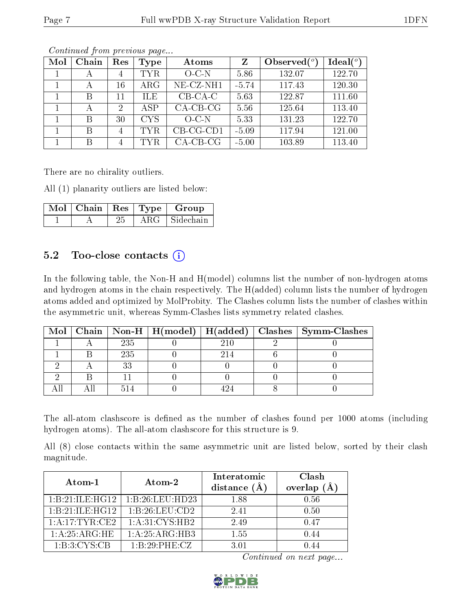| Mol | Chain | Res            | Type       | Atoms        | Z       | Observed $(^\circ)$ | Ideal $(^\circ)$ |
|-----|-------|----------------|------------|--------------|---------|---------------------|------------------|
|     | А     | 4              | TYR.       | $O-C-N$      | 5.86    | 132.07              | 122.70           |
|     | А     | 16             | $\rm{ARG}$ | $NE$ -CZ-NH1 | $-5.74$ | 117.43              | 120.30           |
|     | В     | 11             | ILE.       | $CB-CA-C$    | 5.63    | 122.87              | 111.60           |
|     | А     | 2              | ASP        | $CA-CB-CG$   | 5.56    | 125.64              | 113.40           |
|     | B     | 30             | <b>CYS</b> | $O-C-N$      | 5.33    | 131.23              | 122.70           |
|     | В     | $\overline{4}$ | <b>TYR</b> | $CB-CG-CD1$  | $-5.09$ | 117.94              | 121.00           |
|     | В     | 4              | TYR        | $CA-CB-CG$   | $-5.00$ | 103.89              | 113.40           |

Continued from previous page...

There are no chirality outliers.

All (1) planarity outliers are listed below:

| $\sqrt{\text{Mol}}$   Chain   Res   Type |            | Group     |
|------------------------------------------|------------|-----------|
|                                          | $\rm{ARG}$ | Sidechain |

#### 5.2 Too-close contacts  $(i)$

In the following table, the Non-H and H(model) columns list the number of non-hydrogen atoms and hydrogen atoms in the chain respectively. The H(added) column lists the number of hydrogen atoms added and optimized by MolProbity. The Clashes column lists the number of clashes within the asymmetric unit, whereas Symm-Clashes lists symmetry related clashes.

|  |     |     | Mol   Chain   Non-H   H(model)   H(added)   Clashes   Symm-Clashes |
|--|-----|-----|--------------------------------------------------------------------|
|  | 235 |     |                                                                    |
|  | 235 | 214 |                                                                    |
|  | うう  |     |                                                                    |
|  |     |     |                                                                    |
|  |     |     |                                                                    |

The all-atom clashscore is defined as the number of clashes found per 1000 atoms (including hydrogen atoms). The all-atom clashscore for this structure is 9.

All (8) close contacts within the same asymmetric unit are listed below, sorted by their clash magnitude.

| Atom-1           | Atom-2           | Interatomic<br>distance $(\AA)$ | Clash<br>overlap<br>(Ä |
|------------------|------------------|---------------------------------|------------------------|
| 1:B:21:ILE:HG12  | 1:B:26:LEU:HD23  | 1.88                            | 0.56                   |
| 1:B:21:ILE:HG12  | 1:B:26:LEU:CD2   | 2.41                            | 0.50                   |
| 1:A:17:TYR:CE2   | 1:A:31:CYS:HB2   | 2.49                            | 0.47                   |
| 1: A:25: ARG: HE | 1: A:25: ARG:HB3 | 1.55                            | 0.44                   |
| 1: B:3: CYS:CB   | 1:B:29:PHE:CZ    | 3.01                            |                        |

Continued on next page...

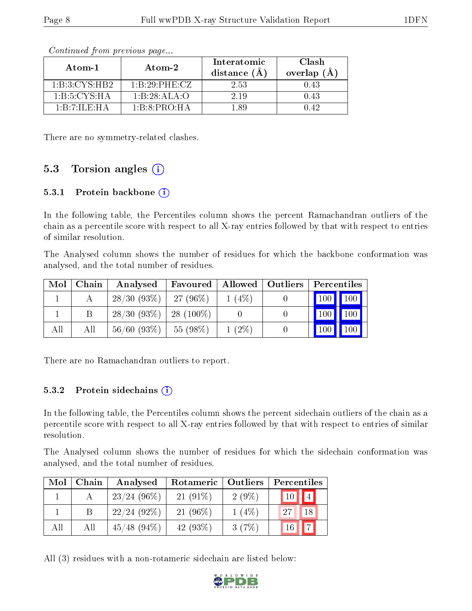| Atom-1                                    | Atom-2                                  | Interatomic<br>distance $(A^{\dagger})$ | Clash<br>overlap $(A)$ |
|-------------------------------------------|-----------------------------------------|-----------------------------------------|------------------------|
| 1:B:3:CYS:HB2                             | $1 \cdot B \cdot 29 \cdot PHE \cdot CZ$ | 2.53                                    | 1.43                   |
| 1:B:CYS:HA                                | 1:B:28:ALA:O                            | 2.19                                    |                        |
| $1 \cdot B \cdot 7 \cdot I L E \cdot H A$ | $1 \cdot B \cdot 8 \cdot PRO \cdot H A$ | 189                                     | ) 49                   |

Continued from previous page...

There are no symmetry-related clashes.

#### 5.3 Torsion angles  $(i)$

#### 5.3.1 Protein backbone (i)

In the following table, the Percentiles column shows the percent Ramachandran outliers of the chain as a percentile score with respect to all X-ray entries followed by that with respect to entries of similar resolution.

The Analysed column shows the number of residues for which the backbone conformation was analysed, and the total number of residues.

| Mol | Chain | Analysed                    | Favoured  | Allowed   Outliers | Percentiles |                  |
|-----|-------|-----------------------------|-----------|--------------------|-------------|------------------|
|     |       | 28/30(93%)                  | 27 (96%)  | $1(4\%)$           | 100 100     |                  |
|     | В     | $28/30$ (93\%)   28 (100\%) |           |                    | 100         | 100 <sub>1</sub> |
| All | All   | $56/60$ (93\%)              | 55 (98\%) | $1(2\%)$           | $100\,$     | 100              |

There are no Ramachandran outliers to report.

#### $5.3.2$  Protein sidechains  $(i)$

In the following table, the Percentiles column shows the percent sidechain outliers of the chain as a percentile score with respect to all X-ray entries followed by that with respect to entries of similar resolution.

The Analysed column shows the number of residues for which the sidechain conformation was analysed, and the total number of residues.

| Mol | Chain | Analysed       | Rotameric  | Outliers | Percentiles    |
|-----|-------|----------------|------------|----------|----------------|
|     |       | $23/24$ (96\%) | $21(91\%)$ | $2(9\%)$ |                |
|     |       | $22/24$ (92\%) | $21(96\%)$ | $1(4\%)$ | 27<br>18       |
| All | Αll   | $45/48$ (94\%) | 42 (93\%)  | 3(7%)    | $\overline{ }$ |

All (3) residues with a non-rotameric sidechain are listed below:

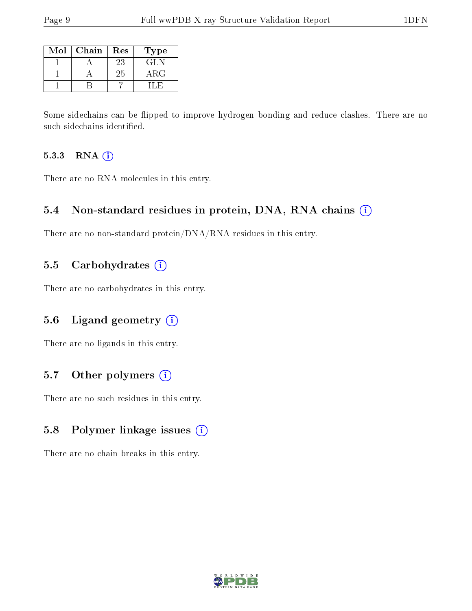| Mol | Chain | Res | Type       |
|-----|-------|-----|------------|
|     |       | 23  | GL N       |
|     |       | 25  | $\rm{ARG}$ |
|     |       |     |            |

Some sidechains can be flipped to improve hydrogen bonding and reduce clashes. There are no such sidechains identified.

#### 5.3.3 RNA (i)

There are no RNA molecules in this entry.

#### 5.4 Non-standard residues in protein, DNA, RNA chains (i)

There are no non-standard protein/DNA/RNA residues in this entry.

#### 5.5 Carbohydrates  $(i)$

There are no carbohydrates in this entry.

### 5.6 Ligand geometry (i)

There are no ligands in this entry.

### 5.7 [O](https://www.wwpdb.org/validation/2017/XrayValidationReportHelp#nonstandard_residues_and_ligands)ther polymers (i)

There are no such residues in this entry.

### 5.8 Polymer linkage issues (i)

There are no chain breaks in this entry.